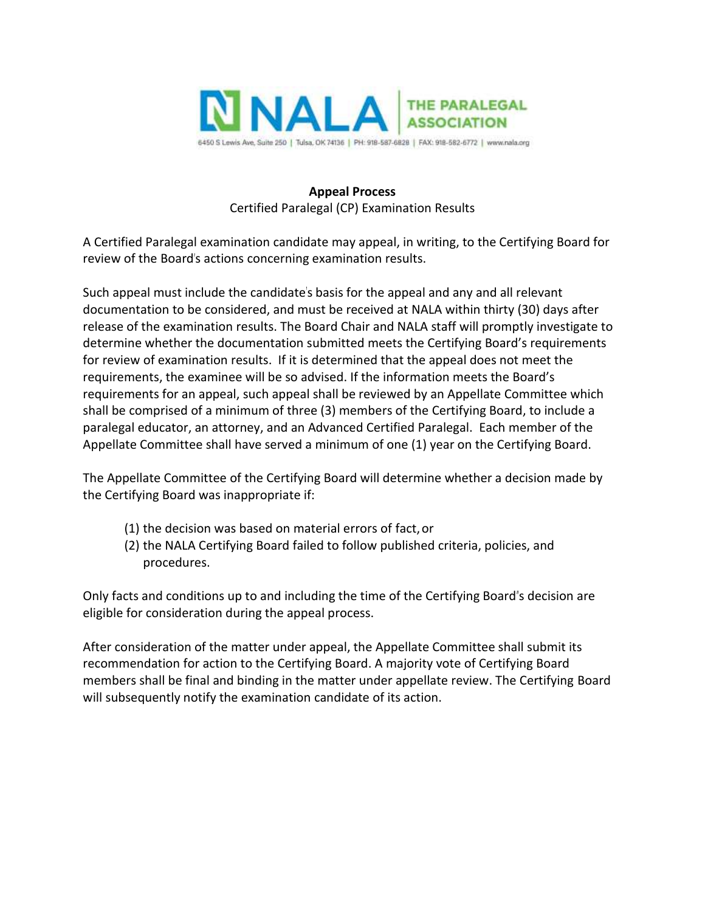

## **Appeal Process** Certified Paralegal (CP) Examination Results

A Certified Paralegal examination candidate may appeal, in writing, to the Certifying Board for review of the Board's actions concerning examination results.

Such appeal must include the candidate's basis for the appeal and any and all relevant documentation to be considered, and must be received at NALA within thirty (30) days after release of the examination results. The Board Chair and NALA staff will promptly investigate to determine whether the documentation submitted meets the Certifying Board's requirements for review of examination results. If it is determined that the appeal does not meet the requirements, the examinee will be so advised. If the information meets the Board's requirements for an appeal, such appeal shall be reviewed by an Appellate Committee which shall be comprised of a minimum of three (3) members of the Certifying Board, to include a paralegal educator, an attorney, and an Advanced Certified Paralegal. Each member of the Appellate Committee shall have served a minimum of one (1) year on the Certifying Board.

The Appellate Committee of the Certifying Board will determine whether a decision made by the Certifying Board was inappropriate if:

- (1) the decision was based on material errors of fact,or
- (2) the NALA Certifying Board failed to follow published criteria, policies, and procedures.

Only facts and conditions up to and including the time of the Certifying Board"s decision are eligible for consideration during the appeal process.

After consideration of the matter under appeal, the Appellate Committee shall submit its recommendation for action to the Certifying Board. A majority vote of Certifying Board members shall be final and binding in the matter under appellate review. The Certifying Board will subsequently notify the examination candidate of its action.